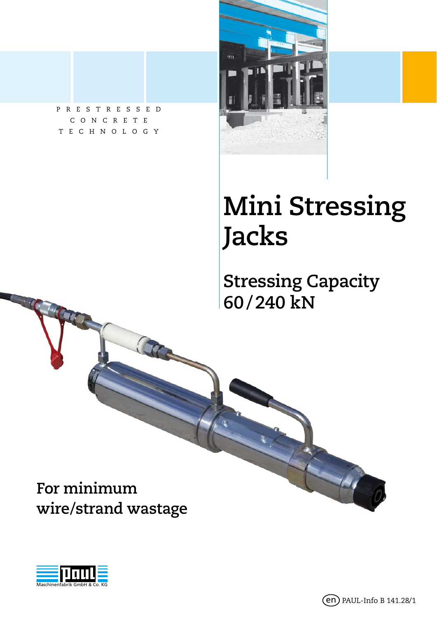PRESTRESSED CONCRETE TECHNOLOGY



# **Mini Stressing Jacks**

**Stressing Capacity 60 / 240 kN**

**For minimum wire/strand wastage**

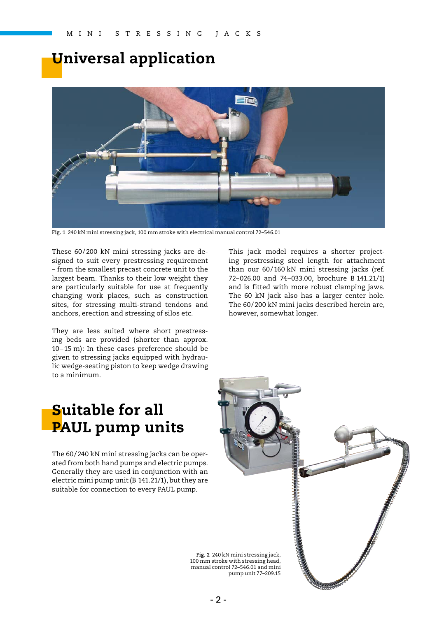## **Universal application**



**Fig. 1** 240 kN mini stressing jack, 100 mm stroke with electrical manual control 72–546.01

These 60/200 kN mini stressing jacks are designed to suit every prestressing requirement – from the smallest precast concrete unit to the largest beam. Thanks to their low weight they are particularly suitable for use at frequently changing work places, such as construction sites, for stressing multi-strand tendons and anchors, erection and stressing of silos etc.

They are less suited where short prestressing beds are provided (shorter than approx. 10 – 15 m): In these cases preference should be given to stressing jacks equipped with hydraulic wedge-seating piston to keep wedge drawing to a minimum.

This jack model requires a shorter projecting prestressing steel length for attachment than our 60/160 kN mini stressing jacks (ref. 72–026.00 and 74–033.00, brochure B 141.21/1) and is fitted with more robust clamping jaws. The 60 kN jack also has a larger center hole. The 60/200 kN mini jacks described herein are, however, somewhat longer.

## **Suitable for all PAUL pump units**

The 60/240 kN mini stressing jacks can be operated from both hand pumps and electric pumps. Generally they are used in conjunction with an electric mini pump unit (B 141.21/1), but they are suitable for connection to every PAUL pump.

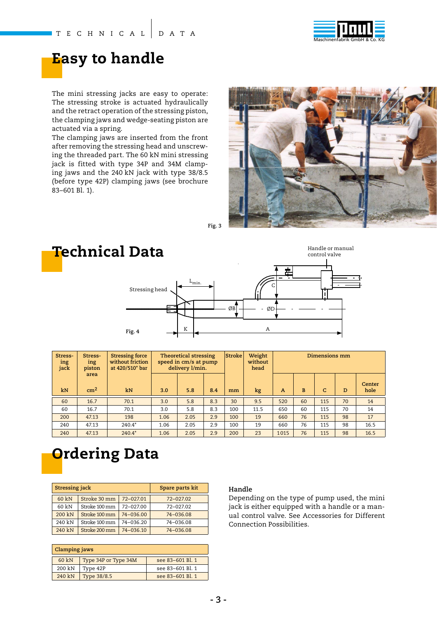

## **Easy to handle**

The mini stressing jacks are easy to operate: The stressing stroke is actuated hydraulically and the retract operation of the stressing piston, the clamping jaws and wedge-seating piston are actuated via a spring.

The clamping jaws are inserted from the front after removing the stressing head and unscrewing the threaded part. The 60 kN mini stressing jack is fitted with type 34P and 34M clamping jaws and the 240 kN jack with type 38/8.5 (before type 42P) clamping jaws (see brochure 83–601 Bl. 1).



**Fig. 3**



| Stress-<br>ing<br>jack | Stress-<br>ing<br>piston | <b>Stressing force</b><br>without friction<br>at 420/510* bar |      | <b>Theoretical stressing</b><br>speed in cm/s at pump<br>delivery l/min. |     | Stroke | Weight<br>without<br>head | Dimensions mm  |    |              |    |                |
|------------------------|--------------------------|---------------------------------------------------------------|------|--------------------------------------------------------------------------|-----|--------|---------------------------|----------------|----|--------------|----|----------------|
| kN                     | area<br>cm <sup>2</sup>  | kN                                                            | 3.0  | 5.8                                                                      | 8.4 | mm     | kg                        | $\overline{A}$ | B  | $\mathsf{C}$ | D  | Center<br>hole |
| 60                     | 16.7                     | 70.1                                                          | 3.0  | 5.8                                                                      | 8.3 | 30     | 9.5                       | 520            | 60 | 115          | 70 | 14             |
| 60                     | 16.7                     | 70.1                                                          | 3.0  | 5.8                                                                      | 8.3 | 100    | 11.5                      | 650            | 60 | 115          | 70 | 14             |
| 200                    | 47.13                    | 198                                                           | 1.06 | 2.05                                                                     | 2.9 | 100    | 19                        | 660            | 76 | 115          | 98 | 17             |
| 240                    | 47.13                    | $240.4*$                                                      | 1.06 | 2.05                                                                     | 2.9 | 100    | 19                        | 660            | 76 | 115          | 98 | 16.5           |
| 240                    | 47.13                    | $240.4*$                                                      | 1.06 | 2.05                                                                     | 2.9 | 200    | 23                        | 1015           | 76 | 115          | 98 | 16.5           |

## **Ordering Data**

| Stressing jack |               | Spare parts kit |           |  |
|----------------|---------------|-----------------|-----------|--|
| 60 kN          | Stroke 30 mm  | 72-027.01       | 72-027.02 |  |
| 60 kN          | Stroke 100 mm | 72-027.00       | 72-027.02 |  |
| 200 kN         | Stroke 100 mm | 74-036.00       | 74-036.08 |  |
| 240 kN         | Stroke 100 mm | 74-036.20       | 74-036.08 |  |
| 240 kN         | Stroke 200 mm | 74-036.10       | 74-036.08 |  |

| Clamping jaws                             |                      |                  |  |  |  |  |
|-------------------------------------------|----------------------|------------------|--|--|--|--|
| 60 kN                                     | Type 34P or Type 34M | see 83-601 Bl. 1 |  |  |  |  |
| 200 kN                                    | Type 42P             | see 83-601 Bl. 1 |  |  |  |  |
| 240 kN<br>see 83-601 Bl. 1<br>Type 38/8.5 |                      |                  |  |  |  |  |

#### **Handle**

Depending on the type of pump used, the mini jack is either equipped with a handle or a manual control valve. See Accessories for Different Connection Possibilities.